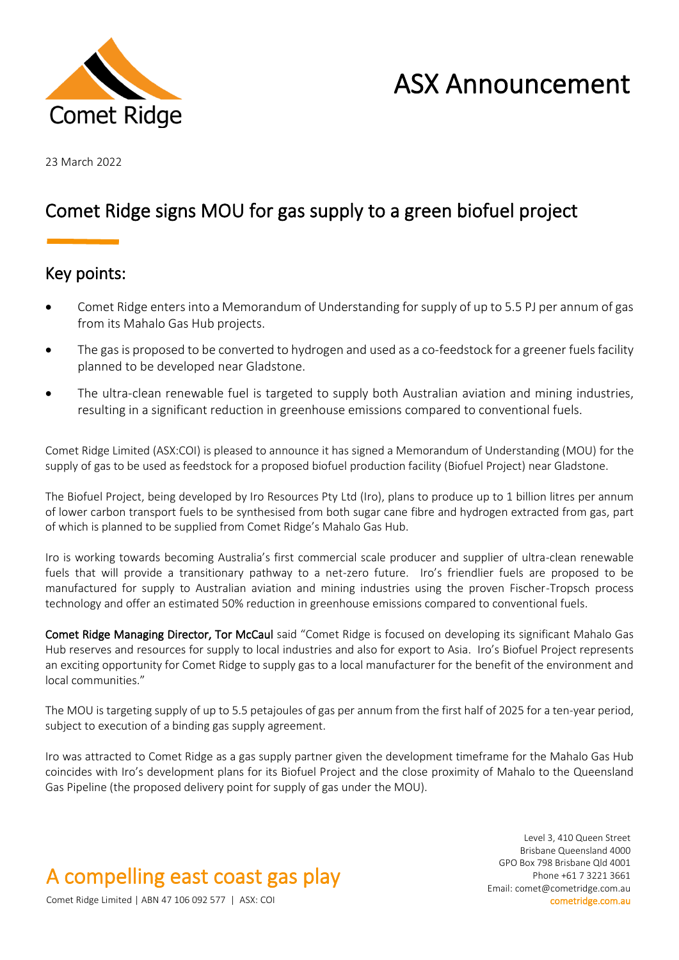

# ASX Announcement

23 March 2022

### Comet Ridge signs MOU for gas supply to a green biofuel project

### Key points:

- Comet Ridge enters into a Memorandum of Understanding for supply of up to 5.5 PJ per annum of gas from its Mahalo Gas Hub projects.
- The gas is proposed to be converted to hydrogen and used as a co-feedstock for a greener fuels facility planned to be developed near Gladstone.
- The ultra-clean renewable fuel is targeted to supply both Australian aviation and mining industries, resulting in a significant reduction in greenhouse emissions compared to conventional fuels.

Comet Ridge Limited (ASX:COI) is pleased to announce it has signed a Memorandum of Understanding (MOU) for the supply of gas to be used as feedstock for a proposed biofuel production facility (Biofuel Project) near Gladstone.

The Biofuel Project, being developed by Iro Resources Pty Ltd (Iro), plans to produce up to 1 billion litres per annum of lower carbon transport fuels to be synthesised from both sugar cane fibre and hydrogen extracted from gas, part of which is planned to be supplied from Comet Ridge's Mahalo Gas Hub.

Iro is working towards becoming Australia's first commercial scale producer and supplier of ultra-clean renewable fuels that will provide a transitionary pathway to a net-zero future. Iro's friendlier fuels are proposed to be manufactured for supply to Australian aviation and mining industries using the proven Fischer-Tropsch process technology and offer an estimated 50% reduction in greenhouse emissions compared to conventional fuels.

Comet Ridge Managing Director, Tor McCaul said "Comet Ridge is focused on developing its significant Mahalo Gas Hub reserves and resources for supply to local industries and also for export to Asia. Iro's Biofuel Project represents an exciting opportunity for Comet Ridge to supply gas to a local manufacturer for the benefit of the environment and local communities."

The MOU is targeting supply of up to 5.5 petajoules of gas per annum from the first half of 2025 for a ten-year period, subject to execution of a binding gas supply agreement.

Iro was attracted to Comet Ridge as a gas supply partner given the development timeframe for the Mahalo Gas Hub coincides with Iro's development plans for its Biofuel Project and the close proximity of Mahalo to the Queensland Gas Pipeline (the proposed delivery point for supply of gas under the MOU).

## A compelling east coast gas play

Level 3, 410 Queen Street Brisbane Queensland 4000 GPO Box 798 Brisbane Qld 4001 Phone +61 7 3221 3661 Email: comet@cometridge.com.au

Comet Ridge Limited | ABN 47 106 092 577 | ASX: COI cometridge.com.au cometridge.com.au